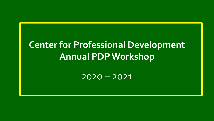# **Center for Professional Development Annual PDP Workshop**

2020 – 2021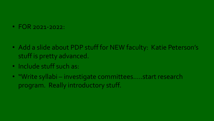• FOR 2021-2022:

- Add a slide about PDP stuff for NEW faculty: Katie Peterson's stuff is pretty advanced.
- Include stuff such as:
- "Write syllabi investigate committees…..start research program. Really introductory stuff.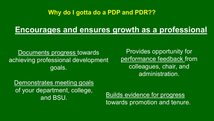#### **Why do I gotta do a PDP and PDR??**

### **Encourages and ensures growth as a professional**

Documents progress towards achieving professional development goals.

Provides opportunity for performance feedback from colleagues, chair, and administration.

Demonstrates meeting goals of your department, college, and BSU.

Builds evidence for progress towards promotion and tenure.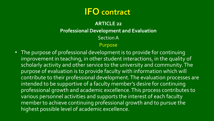## **IFO contract**

#### **ARTICLE 22 Professional Development and Evaluation** Section A

#### Purpose

• The purpose of professional development is to provide for continuing improvement in teaching, in other student interactions, in the quality of scholarly activity and other service to the university and community. The purpose of evaluation is to provide faculty with information which will contribute to their professional development. The evaluation processes are intended to be supportive of a faculty member's desire for continuing professional growth and academic excellence. This process contributes to various personnel activities and supports the interest of each faculty member to achieve continuing professional growth and to pursue the highest possible level of academic excellence.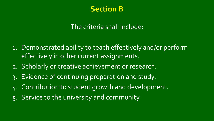

#### The criteria shall include:

- 1. Demonstrated ability to teach effectively and/or perform effectively in other current assignments.
- 2. Scholarly or creative achievement or research.
- 3. Evidence of continuing preparation and study.
- 4. Contribution to student growth and development.
- 5. Service to the university and community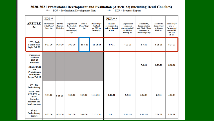#### 2020-2021 Professional Development and Evaluation (Article 22) (including Head Coaches)

\*\*\* PDP - Professional Development Plan

\*\*\* PDR - Progress Report

| <b>ARTICLE</b><br>22                                                                                                                     | PDP**<br><b>PDP</b> consult<br>with Dean /<br>Supv by: | PDP to<br>Dept via<br>Chair by: | Department<br>feedback to<br><b>Faculty</b><br>(encouraged)<br>by: | PDP to<br>Dean / Supv<br>by: | Dean / Supv<br>feedback<br>on PDP to<br>Faculty by: | PDR***<br>PDR and<br>documentation<br>to Dept through<br>Chair | Department<br>comments<br>(through chair)<br>on PDR to<br>Faculty by: | <b>Final PDR.</b><br>documentation<br>and Chair / Dept<br>comments to<br>Dean / Supv by: | Meet with<br>Dean / Supv<br>to discuss<br>PDR by: | Dean / Supv<br>eval to<br><b>Faculty</b> and<br>copy to HR<br>file and<br>VP by: |
|------------------------------------------------------------------------------------------------------------------------------------------|--------------------------------------------------------|---------------------------------|--------------------------------------------------------------------|------------------------------|-----------------------------------------------------|----------------------------------------------------------------|-----------------------------------------------------------------------|------------------------------------------------------------------------------------------|---------------------------------------------------|----------------------------------------------------------------------------------|
| 1 <sup>st</sup> Yr. Prob<br><b>Faculty</b> who<br>begin Fall 20                                                                          | $9 - 11 - 20$                                          | $9 - 18 - 20$                   | $10 - 2 - 20$                                                      | $10-9-20$                    | 11-13-20                                            | $4 - 9 - 21$                                                   | $4 - 23 - 21$                                                         | $5 - 7 - 21$                                                                             | $8 - 25 - 21$                                     | $8 - 27 - 21$                                                                    |
| <b>These dates</b><br>are from<br>2019-20<br>timelines,<br><b>REMINDER</b><br>for<br>Probationary<br><b>Faculty who</b><br>began Fall 19 |                                                        |                                 |                                                                    |                              |                                                     |                                                                |                                                                       | 5-8-20                                                                                   | 8-25-20                                           | 8-28-20                                                                          |
| $2nd - 4th$<br>Probationary<br><b>Fixed Term</b><br>$(.75)$ FTE or<br>more<br><i>(includes</i><br>assistant and<br>head coaches)         | $9 - 11 - 20$                                          | 9-18-20                         | 10-2-20                                                            | 10-9-20                      | 11-13-20                                            | $2 - 26 - 21$                                                  | $3 - 5 - 21$                                                          | $3 - 26 - 21$                                                                            | $4 - 9 - 21$                                      | $4 - 23 - 21$                                                                    |
| $5^{th}$ Yr.<br>Probationary<br><b>Tenure</b>                                                                                            | $9 - 11 - 20$                                          | $9 - 18 - 20$                   | $10 - 2 - 20$                                                      | $10 - 9 - 20$                | 11-13-20                                            | $1-6-21$                                                       | $1-31-21*$                                                            | $1 - 31 - 21$ *                                                                          | $2 - 26 - 21$                                     | $3 - 26 - 21$                                                                    |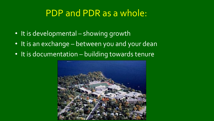# PDP and PDR as a whole:

- It is developmental showing growth
- It is an exchange between you and your dean
- It is documentation building towards tenure

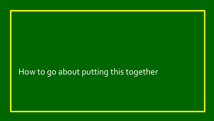# How to go about putting this together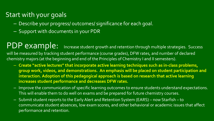#### Start with your goals

- Describe your progress/ outcomes/ significance for each goal.
- Support with documents in your PDR

PDP example: Increase student growth and retention through multiple strategies. Success will be measured by tracking student performance (course grades), DFW rates, and number of declared chemistry majors (at the beginning and end of the Principles of Chemistry I and II semesters).

- **Create "active lectures" that incorporate active learning techniques such as in-class problems, group work, videos, and demonstrations. An emphasis will be placed on student participation and interaction. Adoption of this pedagogical approach is based on research that active learning increases student performance and decreases DFW rates.**
- Improve the communication of specific learning outcomes to ensure students understand expectations. This will enable them to do well on exams and be prepared for future chemistry courses.
- Submit student reports to the Early Alert and Retention System (EARS) now Starfish to communicate student absences, low exam scores, and other behavioral or academic issues that affect performance and retention.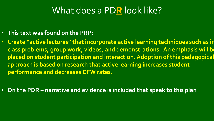# What does a PD**R** look like?

- **This text was found on the PRP:**
- **Create "active lectures" that incorporate active learning techniques such as in class problems, group work, videos, and demonstrations. An emphasis will be placed on student participation and interaction. Adoption of this pedagogical approach is based on research that active learning increases student performance and decreases DFW rates.**
- **On the PDR – narrative and evidence is included that speak to this plan**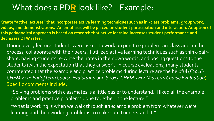### What does a PD**R** look like? Example:

**Create "active lectures" that incorporate active learning techniques such as in -class problems, group work, videos, and demonstrations. An emphasis will be placed on student participation and interaction. Adoption of this pedagogical approach is based on research that active learning increases student performance and decreases DFW rates.** 

- 1.During every lecture students were asked to work on practice problems in-class and, in the process, collaborate with their peers. I utilized active learning techniques such as think-pairshare, having students re-write the notes in their own words, and posing questions to the students (with the expectation that they answer). In course evaluations, many students commented that the example and practice problems during lecture are the helpful (*F2016- CHEM 2211 EndofTermCourse Evaluation* and *S2017-CHEM 2212 MidTermCourse Evaluation*). Specific comments include:
	- "Solving problems with classmates is a little easier to understand. I liked all the example problems and practice problems done together in the lecture."
	- "What is working is when we walk through an example problem from whatever we're learning and then working problems to make sure I understand it."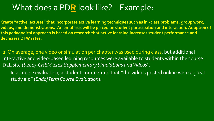### What does a PD**R** look like? Example:

**Create "active lectures" that incorporate active learning techniques such as in -class problems, group work, videos, and demonstrations. An emphasis will be placed on student participation and interaction. Adoption of this pedagogical approach is based on research that active learning increases student performance and decreases DFW rates.** 

2. On average, one video or simulation per chapter was used during class, but additional interactive and video-based learning resources were available to students within the course D2L site (*S2017-CHEM 2212 Supplementary Simulations and Videos*).

In a course evaluation, a student commented that "the videos posted online were a great study aid" (*EndofTermCourse Evaluation*).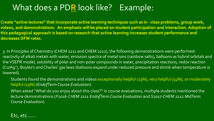## What does a PD**R** look like? Example:

**Create "active lectures" that incorporate active learning techniques such as in -class problems, group work, videos, and demonstrations. An emphasis will be placed on student participation and interaction. Adoption of this pedagogical approach is based on research that active learning increases student performance and decreases DFW rates.** 

3. In Principles of Chemistry (CHEM 2211 and CHEM 2212), the following demonstrations were performed: reactivity of alkali metals with water, emission spectra of metal ions (rainbow salts), balloons as hybrid orbitals and the VSEPR model, solubility of polar and non-polar compounds in water, precipitation reactions, redox reaction (Cu/Ag+), Boyles's and Charles' gas laws (balloons expand under reduced pressure and shrink when temperature is lowered).

Students found the demonstrations and videos exceptionally helpful (23%), very helpful (54%), or moderately helpful (19%) (*EndofTerm Course Evaluation*).

When asked "What do you enjoy about this class?" in course evaluations, multiple students mentioned the lecture demonstrations (*F2016-CHEM 2211 EndofTerm Course Evaluation* and *S2017-CHEM 2212 MidTerm Course Evaluation*).

Etc, etc……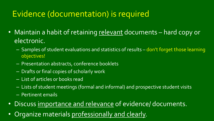## Evidence (documentation) is required

- Maintain a habit of retaining relevant documents hard copy or electronic.
	- Samples of student evaluations and statistics of results don't forget those learning objectives!
	- Presentation abstracts, conference booklets
	- Drafts or final copies of scholarly work
	- List of articles or books read
	- Lists of student meetings (formal and informal) and prospective student visits
	- Pertinent emails
- Discuss importance and relevance of evidence/ documents.
- Organize materials professionally and clearly.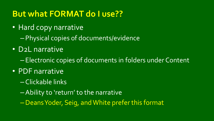## **But what FORMAT do I use??**

- Hard copy narrative
	- Physical copies of documents/evidence
- D2L narrative
	- Electronic copies of documents in folders under Content
- PDF narrative
	- Clickable links
	- –Ability to 'return' to the narrative
	- –Deans Yoder, Seig, and White prefer this format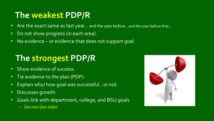## **The weakest PDP/R**

- Are the exact same as last year... and the year before...and the year before that...
- Do not show progress (in each area).
- No evidence or evidence that does not support goal.

# **The strongest PDP/R**

- Show evidence of success.
- Tie evidence to the plan (PDP).
- Explain why/ how goal was successful...or not.
- Discusses growth
- Goals link with department, college, and BSU goals
	- *See next few slides*

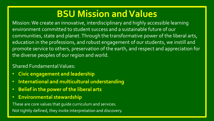# **BSU Mission and Values**

Mission: We create an innovative, interdisciplinary and highly accessible learning environment committed to student success and a sustainable future of our communities, state and planet. Through the transformative power of the liberal arts, education in the professions, and robust engagement of our students, we instill and promote service to others, preservation of the earth, and respect and appreciation for the diverse peoples of our region and world.

#### Shared Fundamental Values:

- **Civic engagement and leadership**
- **International and multicultural understanding**
- **Belief in the power of the liberal arts**
- **Environmental stewardship**

These are core values that guide curriculum and services.

Not tightly defined, they invite interpretation and discovery.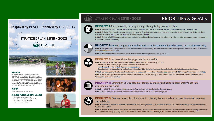#### **Inspired by PLACE, Enriched by DIVERSITY**

#### **STRATEGIC PLAN 2018 - 2023**



#### **MISSION**

We create an innovative, interdisciplinary and highly accessible learning environment committed to student success and a sustainable future of our communities, state and planet. Through the transformative power of the liberal arts, education in the professions and robust engagement of our students, we instill and promote service to others, preservation of the earth and respect and appreciation for the diverse peoples of our region and world.

#### **VISION**

We educate people to lead inspired lives.

#### **SHARED FUNDAMENTAL VALUES**

- Civic engagement and leadership
- International and multicultural understanding
- . Belief in the power of the liberal arts
- · Environmental stewardship





#### STRATEGIC PLAN 2018 - 2023

#### **PRIORITIES & GOALS**



**PRIORITY 1:** Build university capacity through distinguishing themes of place.

GOAL 1: Beginning Fall 2019, create at least one new undergraduate or graduate program a year that incorporates one or more themes of place.

GOAL 2: By Spring 2019, complete a comprehensive study to clarify and focus the university brand as an expression of place themes and devise correlated strategies to improve recruitment and retention of students and employees.

GOAL 3: Beginning Fall 2018, develop at least one new initiative and/or collaboration a year that reflects place themes within and among academics, student life, athletics, and the community.



**PRIORITY 2:** Increase engagement with American Indian communities to become a destination university.

GOAL 1: Strengthen relationships with American Indian communities by doubling the number of experiential learning opportunities available to BSU students in tribal communities by Fall 2022.

GOAL 2: Increase enrollment of American Indian students to 350 (36.7% gain from 2017) by Fall 2022.



#### **PRIORITY 3:** Increase student engagement in campus life.

GOAL 1: Increase participation in the following NSSE areas to Carnegie Class means by Fall 2022:

- Attendance at art exhibits, plays, or other art and music performances;
- Formal leadership roles in student groups or organizations;
- . Opportunities to be involved socially, attending events and activities (includes athletic events), and attend events that address important issues.

GOAL 2: Increase opportunities for faculty and students to engage with one another outside the classroom to the NSSE Carnegie Class means by Fall 2022.

GOAL 3: Improve the quality of interactions with students, academic advisers, faculty, student services staff, and other administrative staff to the NSSE Carnegie Class means by Fall 2022.



**PRIORITY 4:** Strengthen BSU's academic identity by infusing its Shared Fundamental Values into all academic programs.

GOAL 1: By Fall 2019, ensure that the Master Academic Plan is aligned with the Shared Fundamental Values.

GOAL 2: By Fall 2022, infuse Shared Fundamental Values into the curricula of all academic programs.



**PRIORITY 5:** Create a university culture in which diversity is embraced and all people are safe, welcome, and validated.

GOAL 1: Increase the number of international students to 300 (156% gain from 2017), students of color to 700 (18.6%); and faculty and staff of color by 15 (26.8%) by Fall 2022.

GOAL 2: Achieve an increase of at least 0.25 in the mean response to campus climate survey questions about personal experience of a welcoming environment for all aspects of diversity by Spring 2022. Increase the BSU mean for the five NSSE diversity questions to at least the state university mean by 2020.



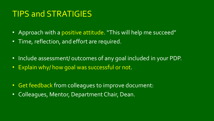### TIPS and STRATIGIES

- Approach with a positive attitude. "This will help me succeed"
- Time, reflection, and effort are required.
- Include assessment/ outcomes of any goal included in your PDP.
- Explain why/ how goal was successful or not.
- Get feedback from colleagues to improve document:
- Colleagues, Mentor, Department Chair, Dean.